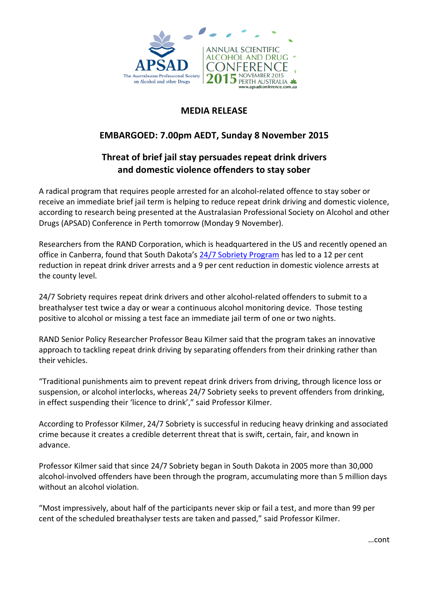

## **MEDIA RELEASE**

## **EMBARGOED: 7.00pm AEDT, Sunday 8 November 2015**

# **Threat of brief jail stay persuades repeat drink drivers and domestic violence offenders to stay sober**

A radical program that requires people arrested for an alcohol-related offence to stay sober or receive an immediate brief jail term is helping to reduce repeat drink driving and domestic violence, according to research being presented at the Australasian Professional Society on Alcohol and other Drugs (APSAD) Conference in Perth tomorrow (Monday 9 November).

Researchers from the RAND Corporation, which is headquartered in the US and recently opened an office in Canberra, found that South Dakota's [24/7 Sobriety Program](http://www.rand.org/health/projects/24-7.html) has led to a 12 per cent reduction in repeat drink driver arrests and a 9 per cent reduction in domestic violence arrests at the county level.

24/7 Sobriety requires repeat drink drivers and other alcohol-related offenders to submit to a breathalyser test twice a day or wear a continuous alcohol monitoring device. Those testing positive to alcohol or missing a test face an immediate jail term of one or two nights.

RAND Senior Policy Researcher Professor Beau Kilmer said that the program takes an innovative approach to tackling repeat drink driving by separating offenders from their drinking rather than their vehicles.

"Traditional punishments aim to prevent repeat drink drivers from driving, through licence loss or suspension, or alcohol interlocks, whereas 24/7 Sobriety seeks to prevent offenders from drinking, in effect suspending their 'licence to drink'," said Professor Kilmer.

According to Professor Kilmer, 24/7 Sobriety is successful in reducing heavy drinking and associated crime because it creates a credible deterrent threat that is swift, certain, fair, and known in advance.

Professor Kilmer said that since 24/7 Sobriety began in South Dakota in 2005 more than 30,000 alcohol-involved offenders have been through the program, accumulating more than 5 million days without an alcohol violation.

"Most impressively, about half of the participants never skip or fail a test, and more than 99 per cent of the scheduled breathalyser tests are taken and passed," said Professor Kilmer.

…cont